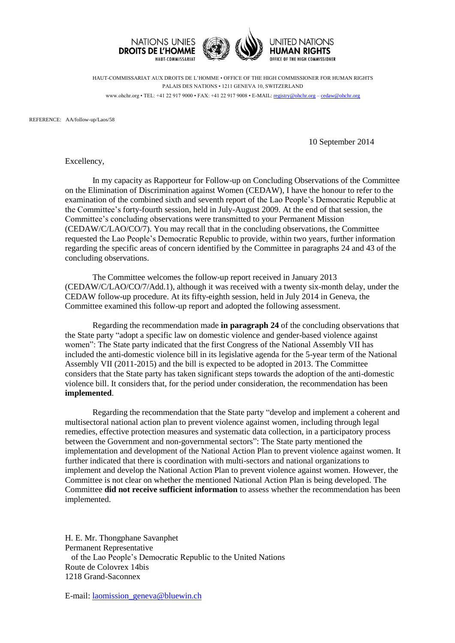

HAUT-COMMISSARIAT AUX DROITS DE L'HOMME • OFFICE OF THE HIGH COMMISSIONER FOR HUMAN RIGHTS PALAIS DES NATIONS • 1211 GENEVA 10, SWITZERLAND www.ohchr.org • TEL: +41 22 917 9000 • FAX: +41 22 917 9008 • E-MAIL: [registry@ohchr.org](mailto:registry@ohchr.org) – [cedaw@ohchr.org](mailto:cedaw@ohchr.org)

REFERENCE: AA/follow-up/Laos/58

10 September 2014

Excellency,

In my capacity as Rapporteur for Follow-up on Concluding Observations of the Committee on the Elimination of Discrimination against Women (CEDAW), I have the honour to refer to the examination of the combined sixth and seventh report of the Lao People's Democratic Republic at the Committee's forty-fourth session, held in July-August 2009. At the end of that session, the Committee's concluding observations were transmitted to your Permanent Mission (CEDAW/C/LAO/CO/7). You may recall that in the concluding observations, the Committee requested the Lao People's Democratic Republic to provide, within two years, further information regarding the specific areas of concern identified by the Committee in paragraphs 24 and 43 of the concluding observations.

The Committee welcomes the follow-up report received in January 2013 (CEDAW/C/LAO/CO/7/Add.1), although it was received with a twenty six-month delay, under the CEDAW follow-up procedure. At its fifty-eighth session, held in July 2014 in Geneva, the Committee examined this follow-up report and adopted the following assessment.

Regarding the recommendation made **in paragraph 24** of the concluding observations that the State party "adopt a specific law on domestic violence and gender-based violence against women": The State party indicated that the first Congress of the National Assembly VII has included the anti-domestic violence bill in its legislative agenda for the 5-year term of the National Assembly VII (2011-2015) and the bill is expected to be adopted in 2013. The Committee considers that the State party has taken significant steps towards the adoption of the anti-domestic violence bill. It considers that, for the period under consideration, the recommendation has been **implemented**.

Regarding the recommendation that the State party "develop and implement a coherent and multisectoral national action plan to prevent violence against women, including through legal remedies, effective protection measures and systematic data collection, in a participatory process between the Government and non-governmental sectors": The State party mentioned the implementation and development of the National Action Plan to prevent violence against women. It further indicated that there is coordination with multi-sectors and national organizations to implement and develop the National Action Plan to prevent violence against women. However, the Committee is not clear on whether the mentioned National Action Plan is being developed. The Committee **did not receive sufficient information** to assess whether the recommendation has been implemented.

H. E. Mr. Thongphane Savanphet Permanent Representative of the Lao People's Democratic Republic to the United Nations Route de Colovrex 14bis 1218 Grand-Saconnex

E-mail: [laomission\\_geneva@bluewin.ch](mailto:laomission_geneva@bluewin.ch)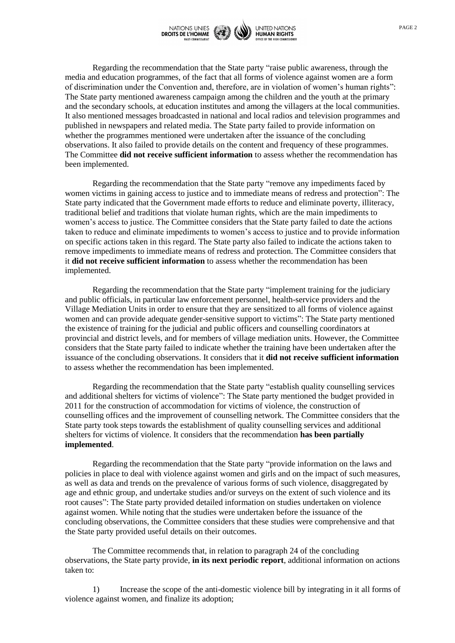

Regarding the recommendation that the State party "raise public awareness, through the media and education programmes, of the fact that all forms of violence against women are a form of discrimination under the Convention and, therefore, are in violation of women's human rights": The State party mentioned awareness campaign among the children and the youth at the primary and the secondary schools, at education institutes and among the villagers at the local communities. It also mentioned messages broadcasted in national and local radios and television programmes and published in newspapers and related media. The State party failed to provide information on whether the programmes mentioned were undertaken after the issuance of the concluding observations. It also failed to provide details on the content and frequency of these programmes. The Committee **did not receive sufficient information** to assess whether the recommendation has been implemented.

Regarding the recommendation that the State party "remove any impediments faced by women victims in gaining access to justice and to immediate means of redress and protection": The State party indicated that the Government made efforts to reduce and eliminate poverty, illiteracy, traditional belief and traditions that violate human rights, which are the main impediments to women's access to justice. The Committee considers that the State party failed to date the actions taken to reduce and eliminate impediments to women's access to justice and to provide information on specific actions taken in this regard. The State party also failed to indicate the actions taken to remove impediments to immediate means of redress and protection. The Committee considers that it **did not receive sufficient information** to assess whether the recommendation has been implemented.

Regarding the recommendation that the State party "implement training for the judiciary and public officials, in particular law enforcement personnel, health-service providers and the Village Mediation Units in order to ensure that they are sensitized to all forms of violence against women and can provide adequate gender-sensitive support to victims": The State party mentioned the existence of training for the judicial and public officers and counselling coordinators at provincial and district levels, and for members of village mediation units. However, the Committee considers that the State party failed to indicate whether the training have been undertaken after the issuance of the concluding observations. It considers that it **did not receive sufficient information** to assess whether the recommendation has been implemented.

Regarding the recommendation that the State party "establish quality counselling services and additional shelters for victims of violence": The State party mentioned the budget provided in 2011 for the construction of accommodation for victims of violence, the construction of counselling offices and the improvement of counselling network. The Committee considers that the State party took steps towards the establishment of quality counselling services and additional shelters for victims of violence. It considers that the recommendation **has been partially implemented**.

Regarding the recommendation that the State party "provide information on the laws and policies in place to deal with violence against women and girls and on the impact of such measures, as well as data and trends on the prevalence of various forms of such violence, disaggregated by age and ethnic group, and undertake studies and/or surveys on the extent of such violence and its root causes": The State party provided detailed information on studies undertaken on violence against women. While noting that the studies were undertaken before the issuance of the concluding observations, the Committee considers that these studies were comprehensive and that the State party provided useful details on their outcomes.

The Committee recommends that, in relation to paragraph 24 of the concluding observations, the State party provide, **in its next periodic report**, additional information on actions taken to:

1) Increase the scope of the anti-domestic violence bill by integrating in it all forms of violence against women, and finalize its adoption;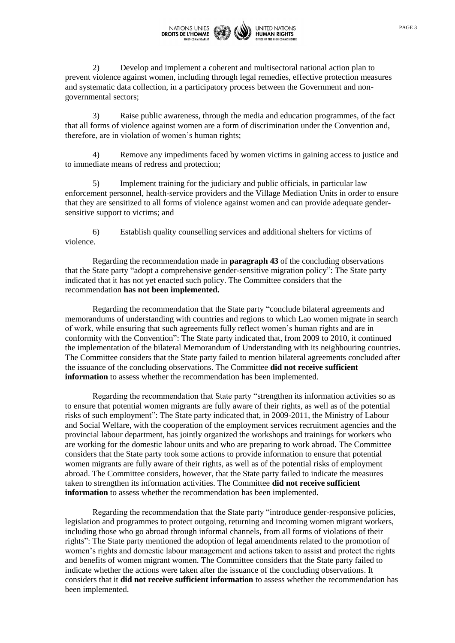

2) Develop and implement a coherent and multisectoral national action plan to prevent violence against women, including through legal remedies, effective protection measures and systematic data collection, in a participatory process between the Government and nongovernmental sectors;

3) Raise public awareness, through the media and education programmes, of the fact that all forms of violence against women are a form of discrimination under the Convention and, therefore, are in violation of women's human rights;

4) Remove any impediments faced by women victims in gaining access to justice and to immediate means of redress and protection;

5) Implement training for the judiciary and public officials, in particular law enforcement personnel, health-service providers and the Village Mediation Units in order to ensure that they are sensitized to all forms of violence against women and can provide adequate gendersensitive support to victims; and

6) Establish quality counselling services and additional shelters for victims of violence.

Regarding the recommendation made in **paragraph 43** of the concluding observations that the State party "adopt a comprehensive gender-sensitive migration policy": The State party indicated that it has not yet enacted such policy. The Committee considers that the recommendation **has not been implemented.**

Regarding the recommendation that the State party "conclude bilateral agreements and memorandums of understanding with countries and regions to which Lao women migrate in search of work, while ensuring that such agreements fully reflect women's human rights and are in conformity with the Convention": The State party indicated that, from 2009 to 2010, it continued the implementation of the bilateral Memorandum of Understanding with its neighbouring countries. The Committee considers that the State party failed to mention bilateral agreements concluded after the issuance of the concluding observations. The Committee **did not receive sufficient information** to assess whether the recommendation has been implemented.

Regarding the recommendation that State party "strengthen its information activities so as to ensure that potential women migrants are fully aware of their rights, as well as of the potential risks of such employment": The State party indicated that, in 2009-2011, the Ministry of Labour and Social Welfare, with the cooperation of the employment services recruitment agencies and the provincial labour department, has jointly organized the workshops and trainings for workers who are working for the domestic labour units and who are preparing to work abroad. The Committee considers that the State party took some actions to provide information to ensure that potential women migrants are fully aware of their rights, as well as of the potential risks of employment abroad. The Committee considers, however, that the State party failed to indicate the measures taken to strengthen its information activities. The Committee **did not receive sufficient information** to assess whether the recommendation has been implemented.

Regarding the recommendation that the State party "introduce gender-responsive policies, legislation and programmes to protect outgoing, returning and incoming women migrant workers, including those who go abroad through informal channels, from all forms of violations of their rights": The State party mentioned the adoption of legal amendments related to the promotion of women's rights and domestic labour management and actions taken to assist and protect the rights and benefits of women migrant women. The Committee considers that the State party failed to indicate whether the actions were taken after the issuance of the concluding observations. It considers that it **did not receive sufficient information** to assess whether the recommendation has been implemented.